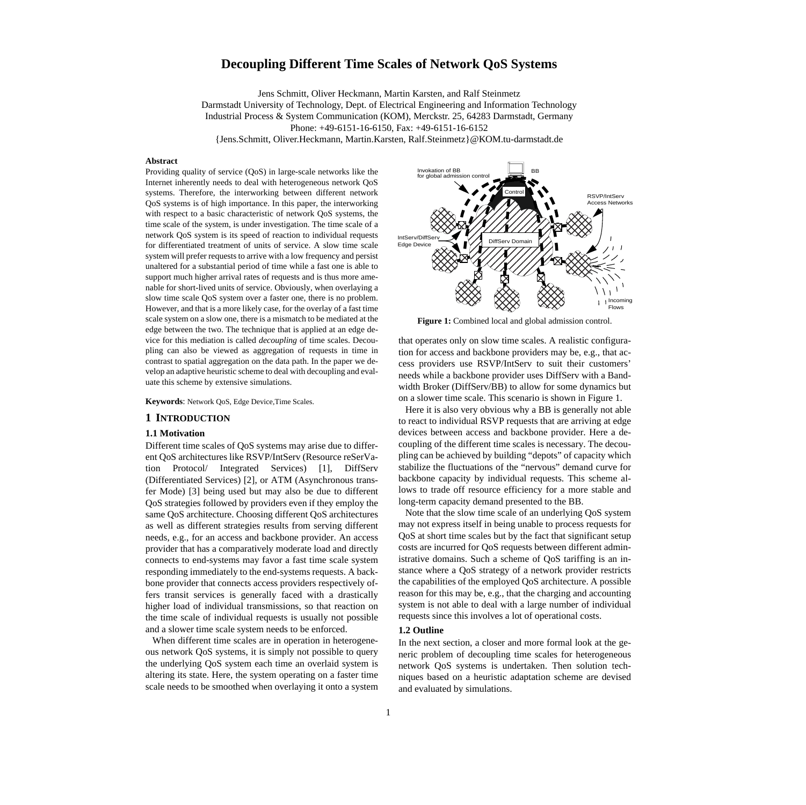# **Decoupling Different Time Scales of Network QoS Systems**

Jens Schmitt, Oliver Heckmann, Martin Karsten, and Ralf Steinmetz Darmstadt University of Technology, Dept. of Electrical Engineering and Information Technology Industrial Process & System Communication (KOM), Merckstr. 25, 64283 Darmstadt, Germany

Phone: +49-6151-16-6150, Fax: +49-6151-16-6152

{Jens.Schmitt, Oliver.Heckmann, Martin.Karsten, Ralf.Steinmetz}@KOM.tu-darmstadt.de

### **Abstract**

Providing quality of service (QoS) in large-scale networks like the Internet inherently needs to deal with heterogeneous network QoS systems. Therefore, the interworking between different network QoS systems is of high importance. In this paper, the interworking with respect to a basic characteristic of network QoS systems, the time scale of the system, is under investigation. The time scale of a network QoS system is its speed of reaction to individual requests for differentiated treatment of units of service. A slow time scale system will prefer requests to arrive with a low frequency and persist unaltered for a substantial period of time while a fast one is able to support much higher arrival rates of requests and is thus more amenable for short-lived units of service. Obviously, when overlaying a slow time scale QoS system over a faster one, there is no problem. However, and that is a more likely case, for the overlay of a fast time scale system on a slow one, there is a mismatch to be mediated at the edge between the two. The technique that is applied at an edge device for this mediation is called *decoupling* of time scales. Decoupling can also be viewed as aggregation of requests in time in contrast to spatial aggregation on the data path. In the paper we develop an adaptive heuristic scheme to deal with decoupling and evaluate this scheme by extensive simulations.

**Keywords**: Network QoS, Edge Device,Time Scales.

## **1 INTRODUCTION**

# **1.1 Motivation**

Different time scales of QoS systems may arise due to different QoS architectures like RSVP/IntServ (Resource reSerVation Protocol/ Integrated Services) [1], DiffServ (Differentiated Services) [2], or ATM (Asynchronous transfer Mode) [3] being used but may also be due to different QoS strategies followed by providers even if they employ the same QoS architecture. Choosing different QoS architectures as well as different strategies results from serving different needs, e.g., for an access and backbone provider. An access provider that has a comparatively moderate load and directly connects to end-systems may favor a fast time scale system responding immediately to the end-systems requests. A backbone provider that connects access providers respectively offers transit services is generally faced with a drastically higher load of individual transmissions, so that reaction on the time scale of individual requests is usually not possible and a slower time scale system needs to be enforced.

When different time scales are in operation in heterogeneous network QoS systems, it is simply not possible to query the underlying QoS system each time an overlaid system is altering its state. Here, the system operating on a faster time scale needs to be smoothed when overlaying it onto a system



**Figure 1:** Combined local and global admission control.

that operates only on slow time scales. A realistic configuration for access and backbone providers may be, e.g., that access providers use RSVP/IntServ to suit their customers' needs while a backbone provider uses DiffServ with a Bandwidth Broker (DiffServ/BB) to allow for some dynamics but on a slower time scale. This scenario is shown in Figure 1.

Here it is also very obvious why a BB is generally not able to react to individual RSVP requests that are arriving at edge devices between access and backbone provider. Here a decoupling of the different time scales is necessary. The decoupling can be achieved by building "depots" of capacity which stabilize the fluctuations of the "nervous" demand curve for backbone capacity by individual requests. This scheme allows to trade off resource efficiency for a more stable and long-term capacity demand presented to the BB.

Note that the slow time scale of an underlying QoS system may not express itself in being unable to process requests for QoS at short time scales but by the fact that significant setup costs are incurred for QoS requests between different administrative domains. Such a scheme of QoS tariffing is an instance where a QoS strategy of a network provider restricts the capabilities of the employed QoS architecture. A possible reason for this may be, e.g., that the charging and accounting system is not able to deal with a large number of individual requests since this involves a lot of operational costs.

## **1.2 Outline**

In the next section, a closer and more formal look at the generic problem of decoupling time scales for heterogeneous network QoS systems is undertaken. Then solution techniques based on a heuristic adaptation scheme are devised and evaluated by simulations.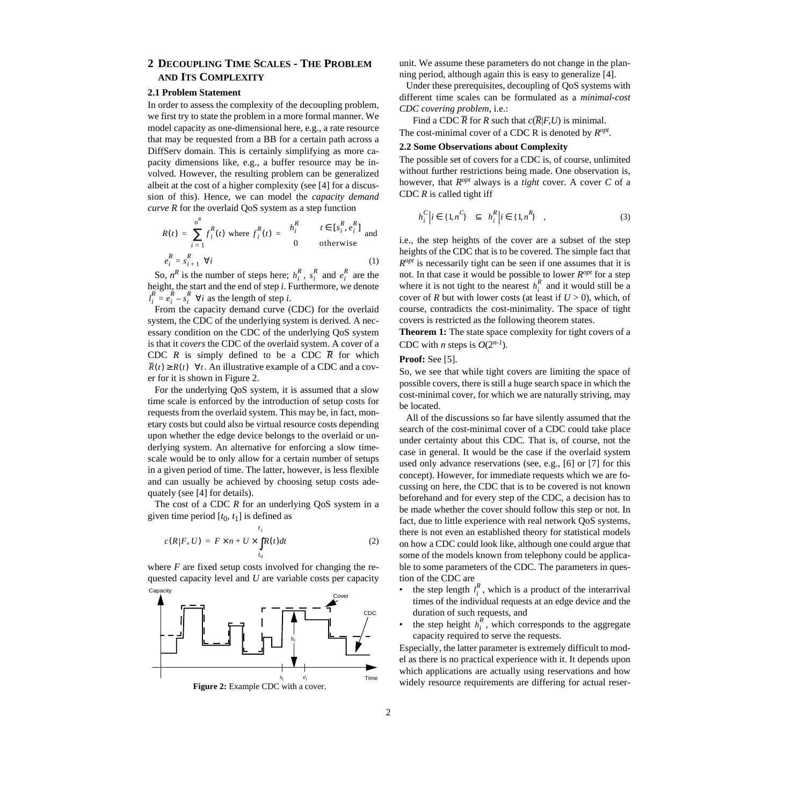# <span id="page-1-0"></span>**2 DECOUPLING TIME SCALES - THE PROBLEM AND ITS COMPLEXITY**

### **2.1 Problem Statement**

In order to assess the complexity of the decoupling problem, we first try to state the problem in a more formal manner. We model capacity as one-dimensional here, e.g., a rate resource that may be requested from a BB for a certain path across a DiffServ domain. This is certainly simplifying as more capacity dimensions like, e.g., a buffer resource may be involved. However, the resulting problem can be generalized albeit at the cost of a higher complexity (see [4] for a discussion of this). Hence, we can model the *capacity demand curve R* for the overlaid QoS system as a step function

$$
R(t) = \sum_{i=1}^{n^R} f_i^R(t) \text{ where } f_i^R(t) = \begin{cases} h_i^R & t \in [s_i^R, e_i^R] \\ 0 & \text{otherwise} \end{cases}
$$
 and 
$$
e_i^R = s_{i+1}^R \quad \forall i
$$
 (1)

So,  $n^R$  is the number of steps here;  $h_i^R$ ,  $s_i^R$  and  $e_i^R$  are the height, the start and the end of step *i*. Furthermore, we denote  $l_i^R = e_i^{\overline{R}} - s_i^R$   $\forall i$  as the length of step *i*.

From the capacity demand curve (CDC) for the overlaid system, the CDC of the underlying system is derived. A necessary condition on the CDC of the underlying QoS system is that it *covers* the CDC of the overlaid system. A cover of a CDC *R* is simply defined to be a CDC  $\overline{R}$  for which  $\overline{R}(t) \ge R(t)$   $\forall t$ . An illustrative example of a CDC and a cover for it is shown in Figure 2.

For the underlying QoS system, it is assumed that a slow time scale is enforced by the introduction of setup costs for requests from the overlaid system. This may be, in fact, monetary costs but could also be virtual resource costs depending upon whether the edge device belongs to the overlaid or underlying system. An alternative for enforcing a slow timescale would be to only allow for a certain number of setups in a given period of time. The latter, however, is less flexible and can usually be achieved by choosing setup costs adequately (see [4] for details).

The cost of a CDC *R* for an underlying QoS system in a given time period  $[t_0, t_1]$  is defined as

$$
c(R|F, U) = F \times n + U \times \int_{t_0}^{t_1} R(t)dt
$$
 (2)

where *F* are fixed setup costs involved for changing the requested capacity level and *U* are variable costs per capacity **Capacity** 



**Figure 2:** Example CDC with a cover.

unit. We assume these parameters do not change in the planning period, although again this is easy to generalize [4].

Under these prerequisites, decoupling of QoS systems with different time scales can be formulated as a *minimal-cost CDC covering problem*, i.e.:

Find a CDC  $\overline{R}$  for *R* such that  $c(\overline{R}|F,U)$  is minimal. The cost-minimal cover of a CDC R is denoted by *Ropt*.

#### **2.2 Some Observations about Complexity**

The possible set of covers for a CDC is, of course, unlimited without further restrictions being made. One observation is, however, that *Ropt* always is a *tight* cover. A cover *C* of a CDC *R* is called tight iff

$$
\left\{ h_i^C \middle| i \in \{1, n^C\} \right\} \subseteq \left\{ h_i^R \middle| i \in \{1, n^R\} \right\},\tag{3}
$$

i.e., the step heights of the cover are a subset of the step heights of the CDC that is to be covered. The simple fact that *Ropt* is necessarily tight can be seen if one assumes that it is not. In that case it would be possible to lower *Ropt* for a step where it is not tight to the nearest  $h_i^R$  and it would still be a cover of *R* but with lower costs (at least if  $U > 0$ ), which, of course, contradicts the cost-minimality. The space of tight covers is restricted as the following theorem states.

**Theorem 1:** The state space complexity for tight covers of a CDC with *n* steps is  $O(2^{n-1})$ .

### **Proof:** See [5].

So, we see that while tight covers are limiting the space of possible covers, there is still a huge search space in which the cost-minimal cover, for which we are naturally striving, may be located.

All of the discussions so far have silently assumed that the search of the cost-minimal cover of a CDC could take place under certainty about this CDC. That is, of course, not the case in general. It would be the case if the overlaid system used only advance reservations (see, e.g., [6] or [7] for this concept). However, for immediate requests which we are focussing on here, the CDC that is to be covered is not known beforehand and for every step of the CDC, a decision has to be made whether the cover should follow this step or not. In fact, due to little experience with real network QoS systems, there is not even an established theory for statistical models on how a CDC could look like, although one could argue that some of the models known from telephony could be applicable to some parameters of the CDC. The parameters in question of the CDC are

- the step length  $l_i^k$ , which is a product of the interarrival times of the individual requests at an edge device and the duration of such requests, and *R*
- the step height  $h_i^R$ , which corresponds to the aggregate capacity required to serve the requests.

Especially, the latter parameter is extremely difficult to model as there is no practical experience with it. It depends upon which applications are actually using reservations and how widely resource requirements are differing for actual reser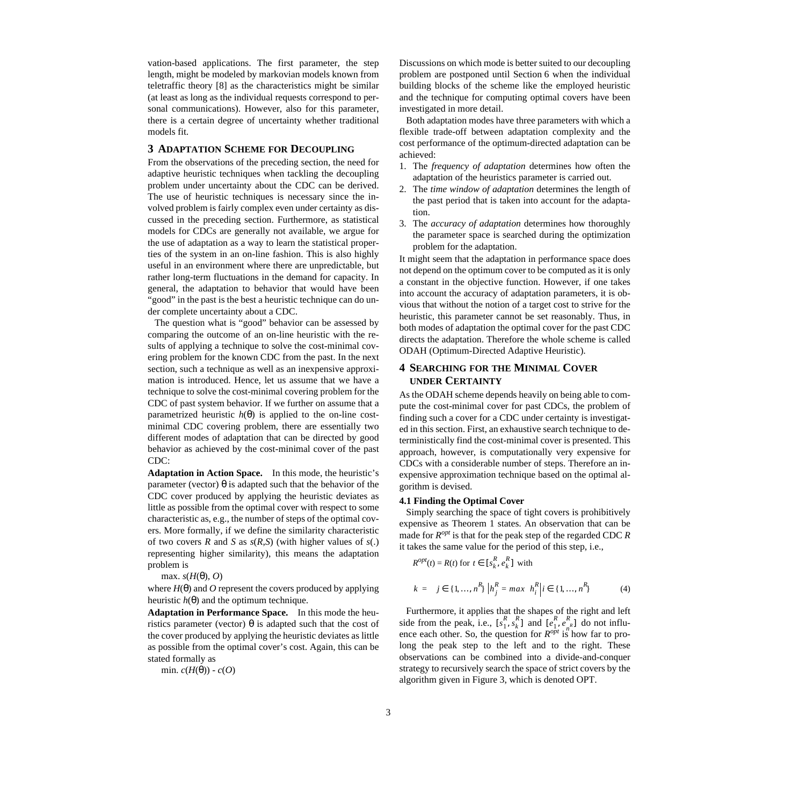<span id="page-2-0"></span>vation-based applications. The first parameter, the step length, might be modeled by markovian models known from teletraffic theory [8] as the characteristics might be similar (at least as long as the individual requests correspond to personal communications). However, also for this parameter, there is a certain degree of uncertainty whether traditional models fit.

# **3 ADAPTATION SCHEME FOR DECOUPLING**

From the observations of the preceding section, the need for adaptive heuristic techniques when tackling the decoupling problem under uncertainty about the CDC can be derived. The use of heuristic techniques is necessary since the involved problem is fairly complex even under certainty as discussed in the preceding section. Furthermore, as statistical models for CDCs are generally not available, we argue for the use of adaptation as a way to learn the statistical properties of the system in an on-line fashion. This is also highly useful in an environment where there are unpredictable, but rather long-term fluctuations in the demand for capacity. In general, the adaptation to behavior that would have been "good" in the past is the best a heuristic technique can do under complete uncertainty about a CDC.

The question what is "good" behavior can be assessed by comparing the outcome of an on-line heuristic with the results of applying a technique to solve the cost-minimal covering problem for the known CDC from the past. In the next section, such a technique as well as an inexpensive approximation is introduced. Hence, let us assume that we have a technique to solve the cost-minimal covering problem for the CDC of past system behavior. If we further on assume that a parametrized heuristic  $h(\theta)$  is applied to the on-line costminimal CDC covering problem, there are essentially two different modes of adaptation that can be directed by good behavior as achieved by the cost-minimal cover of the past CDC:

**Adaptation in Action Space.** In this mode, the heuristic's parameter (vector)  $\theta$  is adapted such that the behavior of the CDC cover produced by applying the heuristic deviates as little as possible from the optimal cover with respect to some characteristic as, e.g., the number of steps of the optimal covers. More formally, if we define the similarity characteristic of two covers *R* and *S* as *s*(*R*,*S*) (with higher values of *s*(.) representing higher similarity), this means the adaptation problem is

max.  $s(H(\theta), O)$ 

where  $H(\theta)$  and O represent the covers produced by applying heuristic  $h(\theta)$  and the optimum technique.

**Adaptation in Performance Space.** In this mode the heuristics parameter (vector)  $\theta$  is adapted such that the cost of the cover produced by applying the heuristic deviates as little as possible from the optimal cover's cost. Again, this can be stated formally as

min. *c*(*H*(θ)) - *c*(*O*)

Discussions on which mode is better suited to our decoupling problem are postponed until [Section 6](#page-6-0) when the individual building blocks of the scheme like the employed heuristic and the technique for computing optimal covers have been investigated in more detail.

Both adaptation modes have three parameters with which a flexible trade-off between adaptation complexity and the cost performance of the optimum-directed adaptation can be achieved:

- 1. The *frequency of adaptation* determines how often the adaptation of the heuristics parameter is carried out.
- 2. The *time window of adaptation* determines the length of the past period that is taken into account for the adaptation.
- 3. The *accuracy of adaptation* determines how thoroughly the parameter space is searched during the optimization problem for the adaptation.

It might seem that the adaptation in performance space does not depend on the optimum cover to be computed as it is only a constant in the objective function. However, if one takes into account the accuracy of adaptation parameters, it is obvious that without the notion of a target cost to strive for the heuristic, this parameter cannot be set reasonably. Thus, in both modes of adaptation the optimal cover for the past CDC directs the adaptation. Therefore the whole scheme is called ODAH (Optimum-Directed Adaptive Heuristic).

# **4 SEARCHING FOR THE MINIMAL COVER UNDER CERTAINTY**

As the ODAH scheme depends heavily on being able to compute the cost-minimal cover for past CDCs, the problem of finding such a cover for a CDC under certainty is investigated in this section. First, an exhaustive search technique to deterministically find the cost-minimal cover is presented. This approach, however, is computationally very expensive for CDCs with a considerable number of steps. Therefore an inexpensive approximation technique based on the optimal algorithm is devised.

#### **4.1 Finding the Optimal Cover**

Simply searching the space of tight covers is prohibitively expensive as [Theorem 1](#page-1-0) states. An observation that can be made for *Ropt* is that for the peak step of the regarded CDC *R* it takes the same value for the period of this step, i.e.,

$$
R^{opt}(t) = R(t) \text{ for } t \in [s_k^R, e_k^R] \text{ with}
$$
  

$$
k = \left\{ j \in \{1, ..., n^R\} \middle| h_j^R = max \left\{ h_i^R \middle| i \in \{1, ..., n^R\} \right\} \right\}
$$
(4)

Furthermore, it applies that the shapes of the right and left side from the peak, i.e.,  $[s_1^R, s_k^R]$  and  $[e_1^R, e_{R_i}^R]$  do not influence each other. So, the question for  $R^{opt}$  is how far to prolong the peak step to the left and to the right. These observations can be combined into a divide-and-conquer strategy to recursively search the space of strict covers by the algorithm given in [Figure 3, w](#page-3-0)hich is denoted OPT.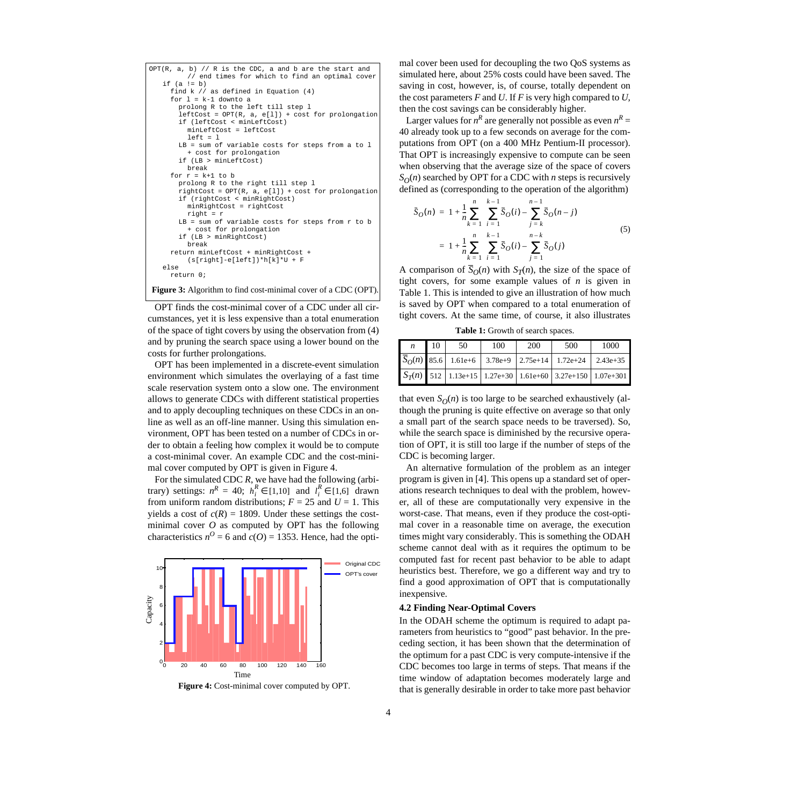```
OPT(R, a, b) // R is the CDC, a and b are the start and
          // end times for which to find an optimal cover
   if (a != b)
     find k \frac{1}{4}n (4)
     for l = k-1 downto a
       prolong R to the left till step l
       leftCost = OPT(R, a, e[l]) + cost for prolongation
       if (leftCost < minLeftCost)
         minLeftCost = leftCost
         left = 1LB = sum of variable costs for steps from a to l
         + cost for prolongation
       if (LB > minLeftCost)
         break
     for r = k+1 to b
       prolong R to the right till step l
       rightCost = OPT(R, a, e[1]) + cost for prolongationif (rightCost < minRightCost)
         minRightCost = rightCost
         right = r
       LB = sum of variable costs for steps from r to b
         + cost for prolongation
       if (LB > minRightCost)
         break
     return minLeftCost + minRightCost +
         (s[right]-e[left])*h[k]*U + F
   else
     return 0;
Figure 3: Algorithm to find cost-minimal cover of a CDC (OPT).
```
OPT finds the cost-minimal cover of a CDC under all circumstances, yet it is less expensive than a total enumeration of the space of tight covers by using the observation from [\(4\)](#page-2-0) and by pruning the search space using a lower bound on the costs for further prolongations.

OPT has been implemented in a discrete-event simulation environment which simulates the overlaying of a fast time scale reservation system onto a slow one. The environment allows to generate CDCs with different statistical properties and to apply decoupling techniques on these CDCs in an online as well as an off-line manner. Using this simulation environment, OPT has been tested on a number of CDCs in order to obtain a feeling how complex it would be to compute a cost-minimal cover. An example CDC and the cost-minimal cover computed by OPT is given in Figure 4.

For the simulated CDC *R*, we have had the following (arbitrary) settings:  $n^R = 40$ ;  $h_i^R \in [1, 10]$  and  $l_i^R \in [1, 6]$  drawn from uniform random distributions;  $F = 25$  and  $U = 1$ . This yields a cost of  $c(R) = 1809$ . Under these settings the costminimal cover *O* as computed by OPT has the following characteristics  $n^O = 6$  and  $c(O) = 1353$ . Hence, had the opti-



**Figure 4:** Cost-minimal cover computed by OPT.

mal cover been used for decoupling the two QoS systems as simulated here, about 25% costs could have been saved. The saving in cost, however, is, of course, totally dependent on the cost parameters *F* and *U*. If *F* is very high compared to *U,* then the cost savings can be considerably higher.

Larger values for  $n^R$  are generally not possible as even  $n^R =$ 40 already took up to a few seconds on average for the computations from OPT (on a 400 MHz Pentium-II processor). That OPT is increasingly expensive to compute can be seen when observing that the average size of the space of covers  $S_O(n)$  searched by OPT for a CDC with *n* steps is recursively defined as (corresponding to the operation of the algorithm)

$$
\bar{S}_O(n) = 1 + \frac{1}{n} \sum_{k=1}^n \left( \sum_{i=1}^{k-1} \bar{S}_O(i) - \sum_{j=k}^{n-1} \bar{S}_O(n-j) \right)
$$
\n
$$
= 1 + \frac{1}{n} \sum_{k=1}^n \left( \sum_{i=1}^{k-1} \bar{S}_O(i) - \sum_{j=1}^{n-k} \bar{S}_O(j) \right)
$$
\n(5)

A comparison of  $\overline{S}_O(n)$  with  $S_T(n)$ , the size of the space of tight covers, for some example values of *n* is given in Table 1. This is intended to give an illustration of how much is saved by OPT when compared to a total enumeration of tight covers. At the same time, of course, it also illustrates

**Table 1:** Growth of search spaces.

| $n \mid 10$ | 50 | 100 | 200 | 500                                                                 | 1000 |
|-------------|----|-----|-----|---------------------------------------------------------------------|------|
|             |    |     |     | $\overline{S}_0(n)$ 85.6 1.61e+6 3.78e+9 2.75e+14 1.72e+24 2.43e+35 |      |
|             |    |     |     | $S_T(n)$ 512 1.13e+15 1.27e+30 1.61e+60 3.27e+150 1.07e+301         |      |

that even  $S_O(n)$  is too large to be searched exhaustively (although the pruning is quite effective on average so that only a small part of the search space needs to be traversed). So, while the search space is diminished by the recursive operation of OPT, it is still too large if the number of steps of the CDC is becoming larger.

An alternative formulation of the problem as an integer program is given in [4]. This opens up a standard set of operations research techniques to deal with the problem, however, all of these are computationally very expensive in the worst-case. That means, even if they produce the cost-optimal cover in a reasonable time on average, the execution times might vary considerably. This is something the ODAH scheme cannot deal with as it requires the optimum to be computed fast for recent past behavior to be able to adapt heuristics best. Therefore, we go a different way and try to find a good approximation of OPT that is computationally inexpensive.

#### **4.2 Finding Near-Optimal Covers**

In the ODAH scheme the optimum is required to adapt parameters from heuristics to "good" past behavior. In the preceding section, it has been shown that the determination of the optimum for a past CDC is very compute-intensive if the CDC becomes too large in terms of steps. That means if the time window of adaptation becomes moderately large and that is generally desirable in order to take more past behavior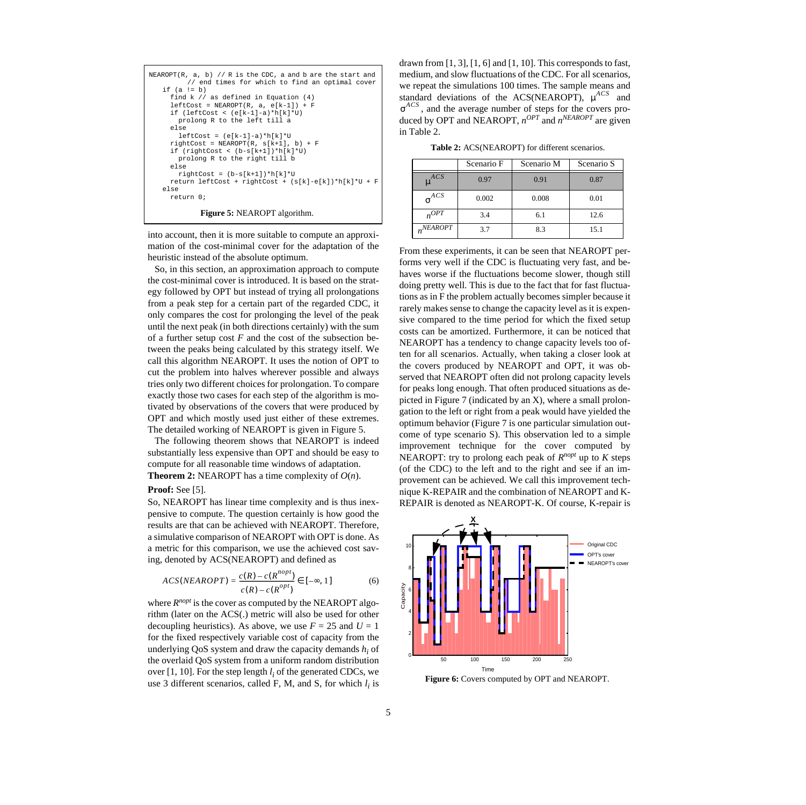```
NEAROPT(R, a, b) // R is the CDC, a and b are the start and
          // end times for which to find an optimal cover
   if (a != b)
     find k // as defined in Equation (4)
     leftCost = NEROPT(R, a, e[k-1]) + Fif (leftCost < (e[k-1]-a)*h[k]*U)
       prolong R to the left till a
     else
       leftCost = (e[k-1]-a)*h[k]*UrightCost = NEAROPT(R, s[k+1], b) + Fif (rightCost < (b-s[k+1])*h[k]*U)
        prolong R to the right till b
     else
       rightCost = (b-s[k+1]) * h[k] * Ureturn leftCost + rightCost + (s[k]-e[k])*h[k]*U + F
   else
     return 0;
             Figure 5: NEAROPT algorithm.
```
into account, then it is more suitable to compute an approximation of the cost-minimal cover for the adaptation of the heuristic instead of the absolute optimum.

So, in this section, an approximation approach to compute the cost-minimal cover is introduced. It is based on the strategy followed by OPT but instead of trying all prolongations from a peak step for a certain part of the regarded CDC, it only compares the cost for prolonging the level of the peak until the next peak (in both directions certainly) with the sum of a further setup cost *F* and the cost of the subsection between the peaks being calculated by this strategy itself. We call this algorithm NEAROPT. It uses the notion of OPT to cut the problem into halves wherever possible and always tries only two different choices for prolongation. To compare exactly those two cases for each step of the algorithm is motivated by observations of the covers that were produced by OPT and which mostly used just either of these extremes. The detailed working of NEAROPT is given in Figure 5.

The following theorem shows that NEAROPT is indeed substantially less expensive than OPT and should be easy to compute for all reasonable time windows of adaptation. **Theorem 2:** NEAROPT has a time complexity of  $O(n)$ .

#### **Proof:** See [5].

So, NEAROPT has linear time complexity and is thus inexpensive to compute. The question certainly is how good the results are that can be achieved with NEAROPT. Therefore, a simulative comparison of NEAROPT with OPT is done. As a metric for this comparison, we use the achieved cost saving, denoted by ACS(NEAROPT) and defined as

$$
ACS(NEAROPT) = \frac{c(R) - c(R^{nopt})}{c(R) - c(R^{opt})} \in [-\infty, 1]
$$
 (6)

where *Rnopt* is the cover as computed by the NEAROPT algorithm (later on the ACS(.) metric will also be used for other decoupling heuristics). As above, we use  $F = 25$  and  $U = 1$ for the fixed respectively variable cost of capacity from the underlying QoS system and draw the capacity demands *hi* of the overlaid QoS system from a uniform random distribution over [1, 10]. For the step length *li* of the generated CDCs, we use 3 different scenarios, called F, M, and S, for which  $l_i$  is drawn from  $[1, 3]$ ,  $[1, 6]$  and  $[1, 10]$ . This corresponds to fast, medium, and slow fluctuations of the CDC. For all scenarios, we repeat the simulations 100 times. The sample means and standard deviations of the ACS(NEAROPT),  $\mu^{ACS}$  and , and the average number of steps for the covers pro-σ *ACS* duced by OPT and NEAROPT,  $n^{OPT}$  and  $n^{NEAROPT}$  are given in Table 2.

**Table 2:** ACS(NEAROPT) for different scenarios.

|                | Scenario F | Scenario M | Scenario S |
|----------------|------------|------------|------------|
| $\mu^{ACS}$    | 0.97       | 0.91       | 0.87       |
| $\sigma^{ACS}$ | 0.002      | 0.008      | 0.01       |
| $n^{OPT}$      | 3.4        | 6.1        | 12.6       |
| NEAROPT        | 3.7        | 8.3        | 15.1       |

From these experiments, it can be seen that NEAROPT performs very well if the CDC is fluctuating very fast, and behaves worse if the fluctuations become slower, though still doing pretty well. This is due to the fact that for fast fluctuations as in F the problem actually becomes simpler because it rarely makes sense to change the capacity level as it is expensive compared to the time period for which the fixed setup costs can be amortized. Furthermore, it can be noticed that NEAROPT has a tendency to change capacity levels too often for all scenarios. Actually, when taking a closer look at the covers produced by NEAROPT and OPT, it was observed that NEAROPT often did not prolong capacity levels for peaks long enough. That often produced situations as depicted in Figure 7 (indicated by an X), where a small prolongation to the left or right from a peak would have yielded the optimum behavior (Figure 7 is one particular simulation outcome of type scenario S). This observation led to a simple improvement technique for the cover computed by NEAROPT: try to prolong each peak of *Rnopt* up to *K* steps (of the CDC) to the left and to the right and see if an improvement can be achieved. We call this improvement technique K-REPAIR and the combination of NEAROPT and K-REPAIR is denoted as NEAROPT-K. Of course, K-repair is



**Figure 6:** Covers computed by OPT and NEAROPT.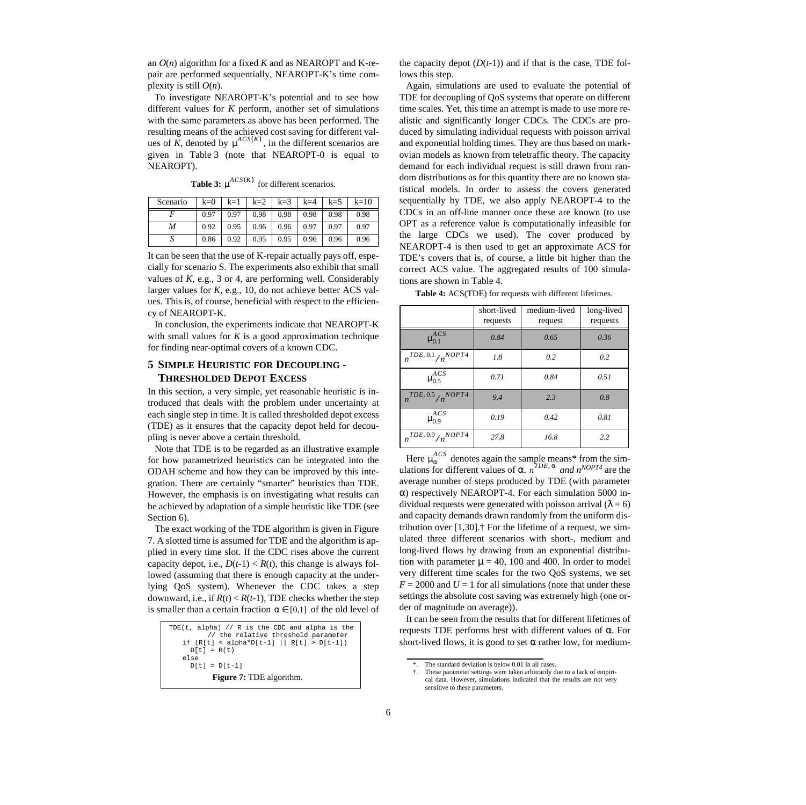<span id="page-5-0"></span>an *O*(*n*) algorithm for a fixed *K* and as NEAROPT and K-repair are performed sequentially, NEAROPT-K's time complexity is still  $O(n)$ .

To investigate NEAROPT-K's potential and to see how different values for *K* perform, another set of simulations with the same parameters as above has been performed. The resulting means of the achieved cost saving for different values of  $\overline{K}$ , denoted by  $\mu^{ACS(K)}$ , in the different scenarios are given in Table 3 (note that NEAROPT-0 is equal to NEAROPT).

**Table 3:**  $\mu^{ACS(K)}$  for different scenarios.

| Scenario | $k=0$ | $k=1$ | $k=2$ | $k=3$ | $k=4$ | $k=5$ | $k=10$ |
|----------|-------|-------|-------|-------|-------|-------|--------|
|          | 0.97  | 0.97  | 0.98  | 0.98  | 0.98  | 0.98  | 0.98   |
| M        | 0.92  | 0.95  | 0.96  | 0.96  | 0.97  | 0.97  | 0.97   |
| υ        | 0.86  | 0.92  | 0.95  | 0.95  | 0.96  | 0.96  | 0.96   |

It can be seen that the use of K-repair actually pays off, especially for scenario S. The experiments also exhibit that small values of *K*, e.g., 3 or 4, are performing well. Considerably larger values for *K*, e.g., 10, do not achieve better ACS values. This is, of course, beneficial with respect to the efficiency of NEAROPT-K.

In conclusion, the experiments indicate that NEAROPT-K with small values for  $K$  is a good approximation technique for finding near-optimal covers of a known CDC.

# **5 SIMPLE HEURISTIC FOR DECOUPLING - THRESHOLDED DEPOT EXCESS**

In this section, a very simple, yet reasonable heuristic is introduced that deals with the problem under uncertainty at each single step in time. It is called thresholded depot excess (TDE) as it ensures that the capacity depot held for decoupling is never above a certain threshold.

Note that TDE is to be regarded as an illustrative example for how parametrized heuristics can be integrated into the ODAH scheme and how they can be improved by this integration. There are certainly "smarter" heuristics than TDE. However, the emphasis is on investigating what results can be achieved by adaptation of a simple heuristic like TDE (see [Section 6\)](#page-6-0).

The exact working of the TDE algorithm is given in Figure 7. A slotted time is assumed for TDE and the algorithm is applied in every time slot. If the CDC rises above the current capacity depot, i.e.,  $D(t-1) < R(t)$ , this change is always followed (assuming that there is enough capacity at the underlying QoS system). Whenever the CDC takes a step downward, i.e., if  $R(t) < R(t-1)$ , TDE checks whether the step is smaller than a certain fraction  $\alpha \in [0,1]$  of the old level of

```
TDE(t, alpha) // R is the CDC and alpha is the
          // the relative threshold parameter
   if (R[t] < alpha*D[t-1] || R[t] > D[t-1])
     D[t] = R(t)else
     D[t] = D[t-1]Figure 7: TDE algorithm.
```
the capacity depot  $(D(t-1))$  and if that is the case, TDE follows this step.

Again, simulations are used to evaluate the potential of TDE for decoupling of QoS systems that operate on different time scales. Yet, this time an attempt is made to use more realistic and significantly longer CDCs. The CDCs are produced by simulating individual requests with poisson arrival and exponential holding times. They are thus based on markovian models as known from teletraffic theory. The capacity demand for each individual request is still drawn from random distributions as for this quantity there are no known statistical models. In order to assess the covers generated sequentially by TDE, we also apply NEAROPT-4 to the CDCs in an off-line manner once these are known (to use OPT as a reference value is computationally infeasible for the large CDCs we used). The cover produced by NEAROPT-4 is then used to get an approximate ACS for TDE's covers that is, of course, a little bit higher than the correct ACS value. The aggregated results of 100 simulations are shown in Table 4.

**Table 4:** ACS(TDE) for requests with different lifetimes.

|                                         | short-lived | medium-lived | long-lived |
|-----------------------------------------|-------------|--------------|------------|
|                                         | requests    | request      | requests   |
| $\mu_{0.1}^{ACS}$                       | 0.84        | 0.65         | 0.36       |
| $n^{TDE, 0.1}/n^{NOPT4}$                | 1.8         | 0.2          | 0.2        |
| $\mu_{0.5}^{ACS}$                       | 0.71        | 0.84         | 0.51       |
| $n^{TDE, 0.5} / n^{NOPT4}$              | 9.4         | 2.3          | 0.8        |
| $\mu_{0.9}^{ACS}$                       | 0.19        | 0.42         | 0.81       |
| $TDE$ , 0.9,<br>$\sqrt{n^{NOPT4}}$<br>n | 27.8        | 16.8         | 2.2        |

Here  $\mu_{\alpha}^{ACS}$  denotes again the sample means\* from the simulations for different values of α.  $n^{TDE, α}$  and  $n^{NOPT4}$  are the average number of steps produced by TDE (with parameter α) respectively NEAROPT-4. For each simulation 5000 individual requests were generated with poisson arrival ( $\lambda = 6$ ) and capacity demands drawn randomly from the uniform distribution over [1,30].† For the lifetime of a request, we simulated three different scenarios with short-, medium and long-lived flows by drawing from an exponential distribution with parameter  $\mu = 40$ , 100 and 400. In order to model very different time scales for the two QoS systems, we set  $F = 2000$  and  $U = 1$  for all simulations (note that under these settings the absolute cost saving was extremely high (one order of magnitude on average)).

It can be seen from the results that for different lifetimes of requests TDE performs best with different values of α. For short-lived flows, it is good to set  $\alpha$  rather low, for medium-

The standard deviation is below 0.01 in all cases.

<sup>†.</sup> These parameter settings were taken arbitrarily due to a lack of empirical data. However, simulations indicated that the results are not very sensitive to these parameters.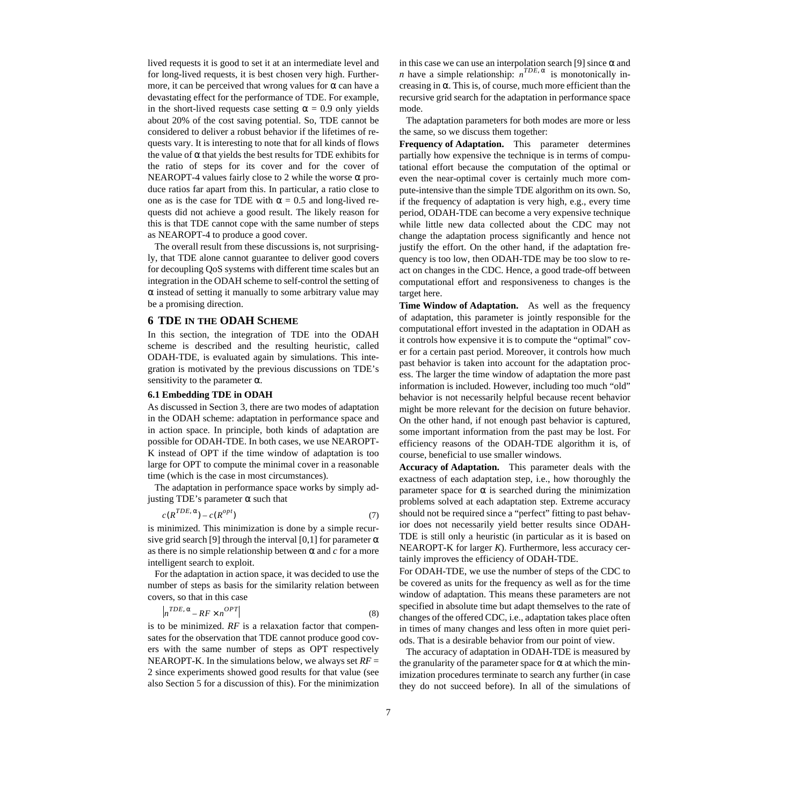<span id="page-6-0"></span>lived requests it is good to set it at an intermediate level and for long-lived requests, it is best chosen very high. Furthermore, it can be perceived that wrong values for  $\alpha$  can have a devastating effect for the performance of TDE. For example, in the short-lived requests case setting  $\alpha = 0.9$  only yields about 20% of the cost saving potential. So, TDE cannot be considered to deliver a robust behavior if the lifetimes of requests vary. It is interesting to note that for all kinds of flows the value of  $\alpha$  that yields the best results for TDE exhibits for the ratio of steps for its cover and for the cover of NEAROPT-4 values fairly close to 2 while the worse  $\alpha$  produce ratios far apart from this. In particular, a ratio close to one as is the case for TDE with  $\alpha = 0.5$  and long-lived requests did not achieve a good result. The likely reason for this is that TDE cannot cope with the same number of steps as NEAROPT-4 to produce a good cover.

The overall result from these discussions is, not surprisingly, that TDE alone cannot guarantee to deliver good covers for decoupling QoS systems with different time scales but an integration in the ODAH scheme to self-control the setting of  $\alpha$  instead of setting it manually to some arbitrary value may be a promising direction.

# **6 TDE IN THE ODAH SCHEME**

In this section, the integration of TDE into the ODAH scheme is described and the resulting heuristic, called ODAH-TDE, is evaluated again by simulations. This integration is motivated by the previous discussions on TDE's sensitivity to the parameter  $\alpha$ .

### **6.1 Embedding TDE in ODAH**

As discussed in [Section 3](#page-2-0), there are two modes of adaptation in the ODAH scheme: adaptation in performance space and in action space. In principle, both kinds of adaptation are possible for ODAH-TDE. In both cases, we use NEAROPT-K instead of OPT if the time window of adaptation is too large for OPT to compute the minimal cover in a reasonable time (which is the case in most circumstances).

The adaptation in performance space works by simply adjusting TDE's parameter α such that

$$
c(R^{TDE, \alpha}) - c(R^{opt}) \tag{7}
$$

is minimized. This minimization is done by a simple recursive grid search [9] through the interval [0,1] for parameter  $\alpha$ as there is no simple relationship between  $\alpha$  and  $c$  for a more intelligent search to exploit.

For the adaptation in action space, it was decided to use the number of steps as basis for the similarity relation between covers, so that in this case

$$
\left| n^{TDE, \alpha} - RF \times n^{OPT} \right| \tag{8}
$$

is to be minimized. *RF* is a relaxation factor that compensates for the observation that TDE cannot produce good covers with the same number of steps as OPT respectively NEAROPT-K. In the simulations below, we always set  $RF =$ 2 since experiments showed good results for that value (see also [Section 5](#page-5-0) for a discussion of this). For the minimization in this case we can use an interpolation search [9] since  $\alpha$  and *n* have a simple relationship:  $n^{TDE, \alpha}$  is monotonically increasing in  $\alpha$ . This is, of course, much more efficient than the recursive grid search for the adaptation in performance space mode.

The adaptation parameters for both modes are more or less the same, so we discuss them together:

**Frequency of Adaptation.** This parameter determines partially how expensive the technique is in terms of computational effort because the computation of the optimal or even the near-optimal cover is certainly much more compute-intensive than the simple TDE algorithm on its own. So, if the frequency of adaptation is very high, e.g., every time period, ODAH-TDE can become a very expensive technique while little new data collected about the CDC may not change the adaptation process significantly and hence not justify the effort. On the other hand, if the adaptation frequency is too low, then ODAH-TDE may be too slow to react on changes in the CDC. Hence, a good trade-off between computational effort and responsiveness to changes is the target here.

**Time Window of Adaptation.** As well as the frequency of adaptation, this parameter is jointly responsible for the computational effort invested in the adaptation in ODAH as it controls how expensive it is to compute the "optimal" cover for a certain past period. Moreover, it controls how much past behavior is taken into account for the adaptation process. The larger the time window of adaptation the more past information is included. However, including too much "old" behavior is not necessarily helpful because recent behavior might be more relevant for the decision on future behavior. On the other hand, if not enough past behavior is captured, some important information from the past may be lost. For efficiency reasons of the ODAH-TDE algorithm it is, of course, beneficial to use smaller windows.

**Accuracy of Adaptation.** This parameter deals with the exactness of each adaptation step, i.e., how thoroughly the parameter space for  $\alpha$  is searched during the minimization problems solved at each adaptation step. Extreme accuracy should not be required since a "perfect" fitting to past behavior does not necessarily yield better results since ODAH-TDE is still only a heuristic (in particular as it is based on NEAROPT-K for larger *K*). Furthermore, less accuracy certainly improves the efficiency of ODAH-TDE.

For ODAH-TDE, we use the number of steps of the CDC to be covered as units for the frequency as well as for the time window of adaptation. This means these parameters are not specified in absolute time but adapt themselves to the rate of changes of the offered CDC, i.e., adaptation takes place often in times of many changes and less often in more quiet periods. That is a desirable behavior from our point of view.

The accuracy of adaptation in ODAH-TDE is measured by the granularity of the parameter space for  $\alpha$  at which the minimization procedures terminate to search any further (in case they do not succeed before). In all of the simulations of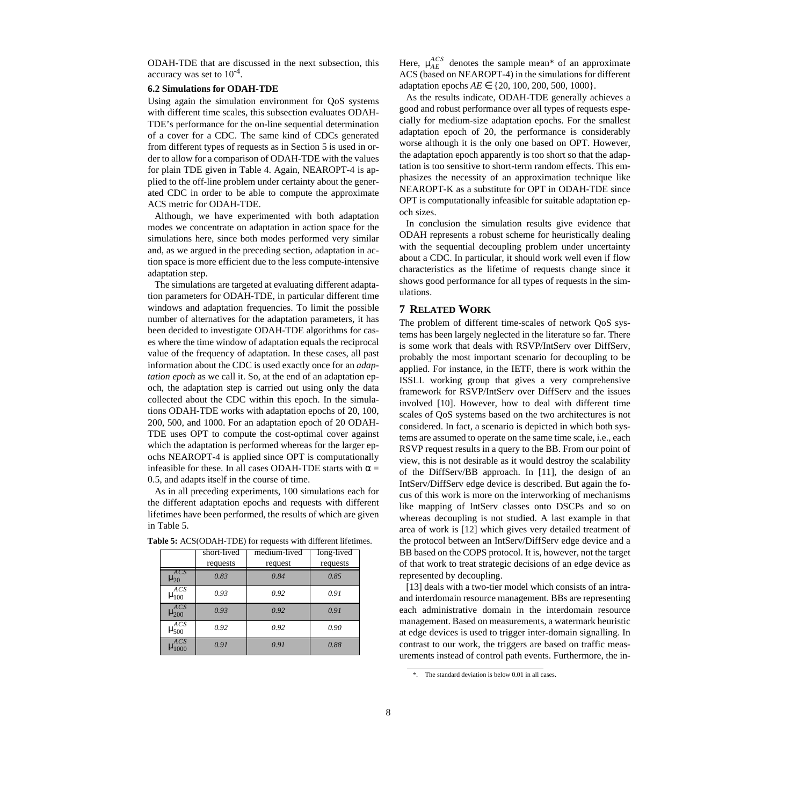ODAH-TDE that are discussed in the next subsection, this accuracy was set to  $10^{-4}$ .

# **6.2 Simulations for ODAH-TDE**

Using again the simulation environment for QoS systems with different time scales, this subsection evaluates ODAH-TDE's performance for the on-line sequential determination of a cover for a CDC. The same kind of CDCs generated from different types of requests as in [Section 5](#page-5-0) is used in order to allow for a comparison of ODAH-TDE with the values for plain TDE given in [Table 4](#page-5-0). Again, NEAROPT-4 is applied to the off-line problem under certainty about the generated CDC in order to be able to compute the approximate ACS metric for ODAH-TDE.

Although, we have experimented with both adaptation modes we concentrate on adaptation in action space for the simulations here, since both modes performed very similar and, as we argued in the preceding section, adaptation in action space is more efficient due to the less compute-intensive adaptation step.

The simulations are targeted at evaluating different adaptation parameters for ODAH-TDE, in particular different time windows and adaptation frequencies. To limit the possible number of alternatives for the adaptation parameters, it has been decided to investigate ODAH-TDE algorithms for cases where the time window of adaptation equals the reciprocal value of the frequency of adaptation. In these cases, all past information about the CDC is used exactly once for an *adaptation epoch* as we call it. So, at the end of an adaptation epoch, the adaptation step is carried out using only the data collected about the CDC within this epoch. In the simulations ODAH-TDE works with adaptation epochs of 20, 100, 200, 500, and 1000. For an adaptation epoch of 20 ODAH-TDE uses OPT to compute the cost-optimal cover against which the adaptation is performed whereas for the larger epochs NEAROPT-4 is applied since OPT is computationally infeasible for these. In all cases ODAH-TDE starts with  $\alpha$  = 0.5, and adapts itself in the course of time.

As in all preceding experiments, 100 simulations each for the different adaptation epochs and requests with different lifetimes have been performed, the results of which are given in Table 5.

|                             | short-lived | medium-lived | long-lived |
|-----------------------------|-------------|--------------|------------|
|                             | requests    | request      | requests   |
| $\mu_{20}^{\overline{ACS}}$ | 0.83        | 0.84         | 0.85       |
| $\sqrt{\frac{ACS}{100}}$    | 0.93        | 0.92         | 0.91       |
| $\mu_{200}^{ACS}$           | 0.93        | 0.92         | 0.91       |
| $\sqrt{\frac{ACS}{500}}$    | 0.92        | 0.92         | 0.90       |
| ACS<br>$\mu_{1000}$         | 0.91        | 0.91         | 0.88       |

**Table 5:** ACS(ODAH-TDE) for requests with different lifetimes.

Here,  $\mu_{AE}^{ACS}$  denotes the sample mean\* of an approximate ACS (based on NEAROPT-4) in the simulations for different adaptation epochs  $AE \in \{20, 100, 200, 500, 1000\}.$ 

As the results indicate, ODAH-TDE generally achieves a good and robust performance over all types of requests especially for medium-size adaptation epochs. For the smallest adaptation epoch of 20, the performance is considerably worse although it is the only one based on OPT. However, the adaptation epoch apparently is too short so that the adaptation is too sensitive to short-term random effects. This emphasizes the necessity of an approximation technique like NEAROPT-K as a substitute for OPT in ODAH-TDE since OPT is computationally infeasible for suitable adaptation epoch sizes.

In conclusion the simulation results give evidence that ODAH represents a robust scheme for heuristically dealing with the sequential decoupling problem under uncertainty about a CDC. In particular, it should work well even if flow characteristics as the lifetime of requests change since it shows good performance for all types of requests in the simulations.

# **7 RELATED WORK**

The problem of different time-scales of network QoS systems has been largely neglected in the literature so far. There is some work that deals with RSVP/IntServ over DiffServ, probably the most important scenario for decoupling to be applied. For instance, in the IETF, there is work within the ISSLL working group that gives a very comprehensive framework for RSVP/IntServ over DiffServ and the issues involved [10]. However, how to deal with different time scales of QoS systems based on the two architectures is not considered. In fact, a scenario is depicted in which both systems are assumed to operate on the same time scale, i.e., each RSVP request results in a query to the BB. From our point of view, this is not desirable as it would destroy the scalability of the DiffServ/BB approach. In [11], the design of an IntServ/DiffServ edge device is described. But again the focus of this work is more on the interworking of mechanisms like mapping of IntServ classes onto DSCPs and so on whereas decoupling is not studied. A last example in that area of work is [12] which gives very detailed treatment of the protocol between an IntServ/DiffServ edge device and a BB based on the COPS protocol. It is, however, not the target of that work to treat strategic decisions of an edge device as represented by decoupling.

[13] deals with a two-tier model which consists of an intraand interdomain resource management. BBs are representing each administrative domain in the interdomain resource management. Based on measurements, a watermark heuristic at edge devices is used to trigger inter-domain signalling. In contrast to our work, the triggers are based on traffic measurements instead of control path events. Furthermore, the in-

<sup>\*.</sup> The standard deviation is below 0.01 in all cases.